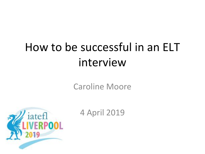# How to be successful in an ELT interview

Caroline Moore



4 April 2019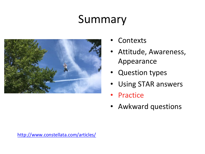## Summary



- **Contexts**
- Attitude, Awareness, Appearance
- Question types
- Using STAR answers
- Practice
- Awkward questions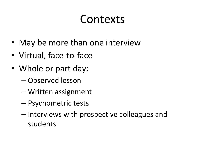### Contexts

- May be more than one interview
- Virtual, face-to-face
- Whole or part day:
	- Observed lesson
	- Written assignment
	- Psychometric tests
	- Interviews with prospective colleagues and students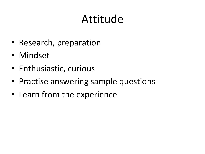### Attitude

- Research, preparation
- Mindset
- Enthusiastic, curious
- Practise answering sample questions
- Learn from the experience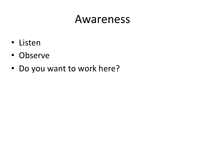#### Awareness

- Listen
- Observe
- Do you want to work here?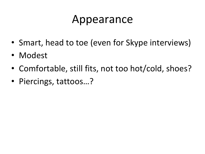#### Appearance

- Smart, head to toe (even for Skype interviews)
- Modest
- Comfortable, still fits, not too hot/cold, shoes?
- Piercings, tattoos…?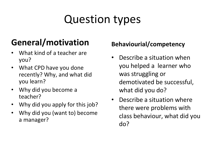# Question types

#### **General/motivation**

- What kind of a teacher are you?
- What CPD have you done recently? Why, and what did you learn?
- Why did you become a teacher?
- Why did you apply for this job?
- Why did you (want to) become a manager?

#### **Behaviourial/competency**

- Describe a situation when you helped a learner who was struggling or demotivated be successful, what did you do?
- Describe a situation where there were problems with class behaviour, what did you do?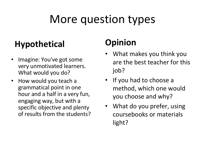## More question types

#### **Hypothetical**

- Imagine: You've got some very unmotivated learners. What would you do?
- How would you teach a grammatical point in one hour and a half in a very fun, engaging way, but with a specific objective and plenty of results from the students?

#### **Opinion**

- What makes you think you are the best teacher for this job?
- If you had to choose a method, which one would you choose and why?
- What do you prefer, using coursebooks or materials light?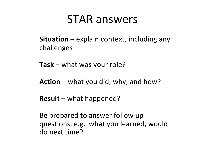#### STAR answers

**Situation** – explain context, including any challenges

**Task** – what was your role?

**Action** – what you did, why, and how?

**Result** – what happened?

Be prepared to answer follow up questions, e.g. what you learned, would do next time?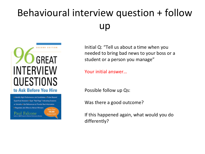#### Behavioural interview question + follow up



Identify High-Performance Job Candidates Probe Beyond Superficial Answers . Spot "Red Flags" Indicating Evasions or Untruths = Get References to Provide Real Information - Negotiate Job Offers to Attract Winners 100,000 Falcone pies So

Initial Q: "Tell us about a time when you needed to bring bad news to your boss or a student or a person you manage"

Your initial answer…

Possible follow up Qs:

Was there a good outcome?

If this happened again, what would you do differently?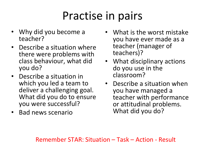## Practise in pairs

- Why did you become a teacher?
- Describe a situation where there were problems with class behaviour, what did you do?
- Describe a situation in which you led a team to deliver a challenging goal. What did you do to ensure you were successful?
- Bad news scenario
- What is the worst mistake you have ever made as a teacher (manager of teachers)?
- What disciplinary actions do you use in the classroom?
- Describe a situation when you have managed a teacher with performance or attitudinal problems. What did you do?

Remember STAR: Situation – Task – Action - Result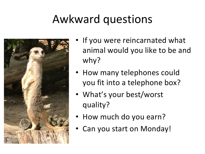## Awkward questions



- If you were reincarnated what animal would you like to be and why?
- How many telephones could you fit into a telephone box?
- What's your best/worst quality?
- How much do you earn?
- Can you start on Monday!